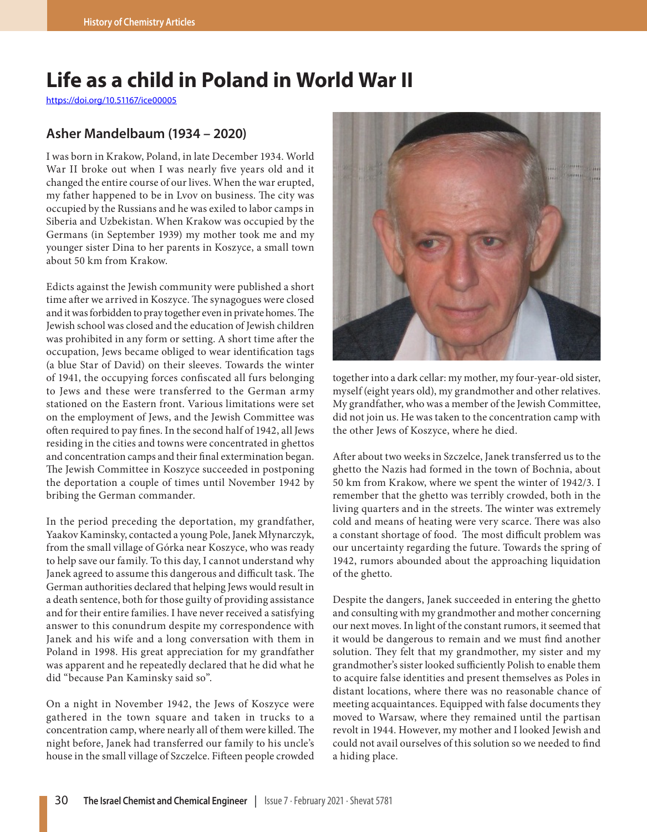## **Life as a child in Poland in World War II**

https://doi.org/10.51167/ice00005

## **Asher Mandelbaum (1934 – 2020)**

I was born in Krakow, Poland, in late December 1934. World War II broke out when I was nearly five years old and it changed the entire course of our lives. When the war erupted, my father happened to be in Lvov on business. The city was occupied by the Russians and he was exiled to labor camps in Siberia and Uzbekistan. When Krakow was occupied by the Germans (in September 1939) my mother took me and my younger sister Dina to her parents in Koszyce, a small town about 50 km from Krakow.

Edicts against the Jewish community were published a short time after we arrived in Koszyce. The synagogues were closed and it was forbidden to pray together even in private homes. The Jewish school was closed and the education of Jewish children was prohibited in any form or setting. A short time after the occupation, Jews became obliged to wear identification tags (a blue Star of David) on their sleeves. Towards the winter of 1941, the occupying forces confiscated all furs belonging to Jews and these were transferred to the German army stationed on the Eastern front. Various limitations were set on the employment of Jews, and the Jewish Committee was often required to pay fines. In the second half of 1942, all Jews residing in the cities and towns were concentrated in ghettos and concentration camps and their final extermination began. The Jewish Committee in Koszyce succeeded in postponing the deportation a couple of times until November 1942 by bribing the German commander.

In the period preceding the deportation, my grandfather, Yaakov Kaminsky, contacted a young Pole, Janek Młynarczyk, from the small village of Górka near Koszyce, who was ready to help save our family. To this day, I cannot understand why Janek agreed to assume this dangerous and difficult task. The German authorities declared that helping Jews would result in a death sentence, both for those guilty of providing assistance and for their entire families. I have never received a satisfying answer to this conundrum despite my correspondence with Janek and his wife and a long conversation with them in Poland in 1998. His great appreciation for my grandfather was apparent and he repeatedly declared that he did what he did "because Pan Kaminsky said so".

On a night in November 1942, the Jews of Koszyce were gathered in the town square and taken in trucks to a concentration camp, where nearly all of them were killed. The night before, Janek had transferred our family to his uncle's house in the small village of Szczelce. Fifteen people crowded



together into a dark cellar: my mother, my four-year-old sister, myself (eight years old), my grandmother and other relatives. My grandfather, who was a member of the Jewish Committee, did not join us. He was taken to the concentration camp with the other Jews of Koszyce, where he died.

After about two weeks in Szczelce, Janek transferred us to the ghetto the Nazis had formed in the town of Bochnia, about 50 km from Krakow, where we spent the winter of 1942/3. I remember that the ghetto was terribly crowded, both in the living quarters and in the streets. The winter was extremely cold and means of heating were very scarce. There was also a constant shortage of food. The most difficult problem was our uncertainty regarding the future. Towards the spring of 1942, rumors abounded about the approaching liquidation of the ghetto.

Despite the dangers, Janek succeeded in entering the ghetto and consulting with my grandmother and mother concerning our next moves. In light of the constant rumors, it seemed that it would be dangerous to remain and we must find another solution. They felt that my grandmother, my sister and my grandmother's sister looked sufficiently Polish to enable them to acquire false identities and present themselves as Poles in distant locations, where there was no reasonable chance of meeting acquaintances. Equipped with false documents they moved to Warsaw, where they remained until the partisan revolt in 1944. However, my mother and I looked Jewish and could not avail ourselves of this solution so we needed to find a hiding place.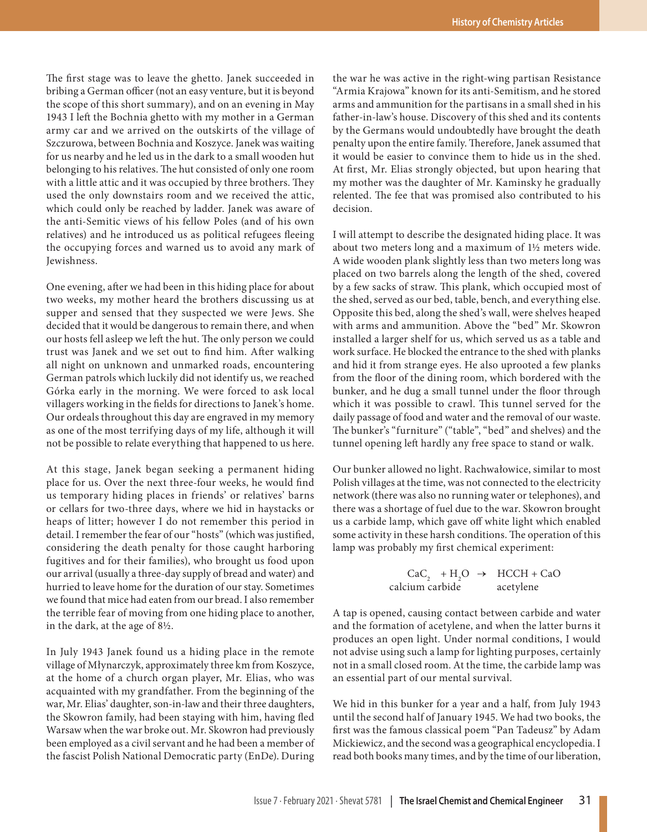The first stage was to leave the ghetto. Janek succeeded in bribing a German officer (not an easy venture, but it is beyond the scope of this short summary), and on an evening in May 1943 I left the Bochnia ghetto with my mother in a German army car and we arrived on the outskirts of the village of Szczurowa, between Bochnia and Koszyce. Janek was waiting for us nearby and he led us in the dark to a small wooden hut belonging to his relatives. The hut consisted of only one room with a little attic and it was occupied by three brothers. They used the only downstairs room and we received the attic, which could only be reached by ladder. Janek was aware of the anti-Semitic views of his fellow Poles (and of his own relatives) and he introduced us as political refugees fleeing the occupying forces and warned us to avoid any mark of Jewishness.

One evening, after we had been in this hiding place for about two weeks, my mother heard the brothers discussing us at supper and sensed that they suspected we were Jews. She decided that it would be dangerous to remain there, and when our hosts fell asleep we left the hut. The only person we could trust was Janek and we set out to find him. After walking all night on unknown and unmarked roads, encountering German patrols which luckily did not identify us, we reached Górka early in the morning. We were forced to ask local villagers working in the fields for directions to Janek's home. Our ordeals throughout this day are engraved in my memory as one of the most terrifying days of my life, although it will not be possible to relate everything that happened to us here.

At this stage, Janek began seeking a permanent hiding place for us. Over the next three-four weeks, he would find us temporary hiding places in friends' or relatives' barns or cellars for two-three days, where we hid in haystacks or heaps of litter; however I do not remember this period in detail. I remember the fear of our "hosts" (which was justified, considering the death penalty for those caught harboring fugitives and for their families), who brought us food upon our arrival (usually a three-day supply of bread and water) and hurried to leave home for the duration of our stay. Sometimes we found that mice had eaten from our bread. I also remember the terrible fear of moving from one hiding place to another, in the dark, at the age of 8½.

In July 1943 Janek found us a hiding place in the remote village of Młynarczyk, approximately three km from Koszyce, at the home of a church organ player, Mr. Elias, who was acquainted with my grandfather. From the beginning of the war, Mr. Elias' daughter, son-in-law and their three daughters, the Skowron family, had been staying with him, having fled Warsaw when the war broke out. Mr. Skowron had previously been employed as a civil servant and he had been a member of the fascist Polish National Democratic party (EnDe). During

the war he was active in the right-wing partisan Resistance "Armia Krajowa" known for its anti-Semitism, and he stored arms and ammunition for the partisans in a small shed in his father-in-law's house. Discovery of this shed and its contents by the Germans would undoubtedly have brought the death penalty upon the entire family. Therefore, Janek assumed that it would be easier to convince them to hide us in the shed. At first, Mr. Elias strongly objected, but upon hearing that my mother was the daughter of Mr. Kaminsky he gradually relented. The fee that was promised also contributed to his decision.

I will attempt to describe the designated hiding place. It was about two meters long and a maximum of 1½ meters wide. A wide wooden plank slightly less than two meters long was placed on two barrels along the length of the shed, covered by a few sacks of straw. This plank, which occupied most of the shed, served as our bed, table, bench, and everything else. Opposite this bed, along the shed's wall, were shelves heaped with arms and ammunition. Above the "bed" Mr. Skowron installed a larger shelf for us, which served us as a table and work surface. He blocked the entrance to the shed with planks and hid it from strange eyes. He also uprooted a few planks from the floor of the dining room, which bordered with the bunker, and he dug a small tunnel under the floor through which it was possible to crawl. This tunnel served for the daily passage of food and water and the removal of our waste. The bunker's "furniture" ("table", "bed" and shelves) and the tunnel opening left hardly any free space to stand or walk.

Our bunker allowed no light. Rachwałowice, similar to most Polish villages at the time, was not connected to the electricity network (there was also no running water or telephones), and there was a shortage of fuel due to the war. Skowron brought us a carbide lamp, which gave off white light which enabled some activity in these harsh conditions. The operation of this lamp was probably my first chemical experiment:

 $CaC_2$  + H<sub>2</sub>O  $\rightarrow$  HCCH + CaO calcium carbide acetylene

A tap is opened, causing contact between carbide and water and the formation of acetylene, and when the latter burns it produces an open light. Under normal conditions, I would not advise using such a lamp for lighting purposes, certainly not in a small closed room. At the time, the carbide lamp was an essential part of our mental survival.

We hid in this bunker for a year and a half, from July 1943 until the second half of January 1945. We had two books, the first was the famous classical poem "[Pan Tadeusz"](http://en.wikipedia.org/wiki/Pan_Tadeusz) by Adam Mickiewicz, and the second was a geographical encyclopedia. I read both books many times, and by the time of our liberation,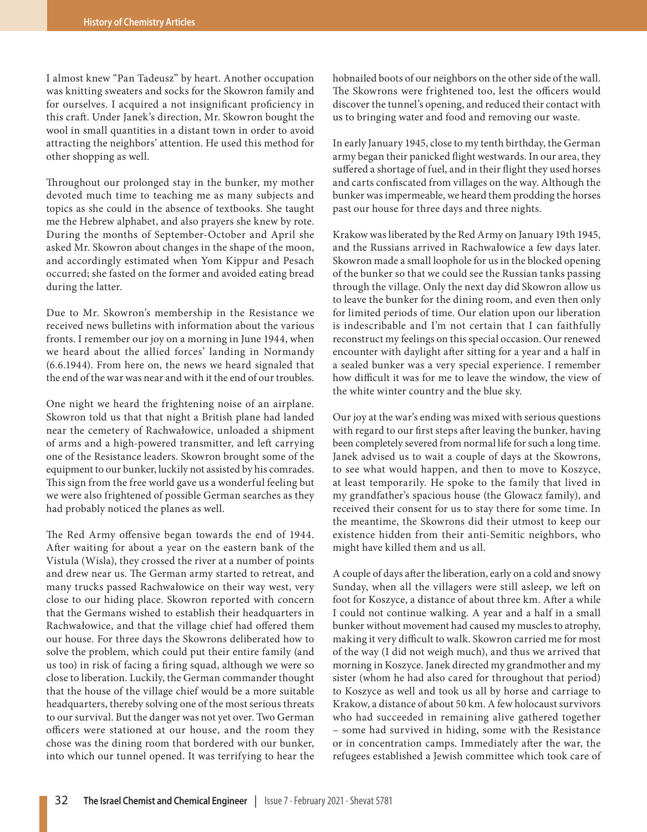I almost knew "[Pan Tadeusz"](http://en.wikipedia.org/wiki/Pan_Tadeusz) by heart. Another occupation was knitting sweaters and socks for the Skowron family and for ourselves. I acquired a not insignificant proficiency in this craft. Under Janek's direction, Mr. Skowron bought the wool in small quantities in a distant town in order to avoid attracting the neighbors' attention. He used this method for other shopping as well.

Throughout our prolonged stay in the bunker, my mother devoted much time to teaching me as many subjects and topics as she could in the absence of textbooks. She taught me the Hebrew alphabet, and also prayers she knew by rote. During the months of September-October and April she asked Mr. Skowron about changes in the shape of the moon, and accordingly estimated when Yom Kippur and Pesach occurred; she fasted on the former and avoided eating bread during the latter.

Due to Mr. Skowron's membership in the Resistance we received news bulletins with information about the various fronts. I remember our joy on a morning in June 1944, when we heard about the allied forces' landing in Normandy (6.6.1944). From here on, the news we heard signaled that the end of the war was near and with it the end of our troubles.

One night we heard the frightening noise of an airplane. Skowron told us that that night a British plane had landed near the cemetery of Rachwałowice, unloaded a shipment of arms and a high-powered transmitter, and left carrying one of the Resistance leaders. Skowron brought some of the equipment to our bunker, luckily not assisted by his comrades. This sign from the free world gave us a wonderful feeling but we were also frightened of possible German searches as they had probably noticed the planes as well.

The Red Army offensive began towards the end of 1944. After waiting for about a year on the eastern bank of the Vistula (Wisla), they crossed the river at a number of points and drew near us. The German army started to retreat, and many trucks passed Rachwałowice on their way west, very close to our hiding place. Skowron reported with concern that the Germans wished to establish their headquarters in Rachwałowice, and that the village chief had offered them our house. For three days the Skowrons deliberated how to solve the problem, which could put their entire family (and us too) in risk of facing a firing squad, although we were so close to liberation. Luckily, the German commander thought that the house of the village chief would be a more suitable headquarters, thereby solving one of the most serious threats to our survival. But the danger was not yet over. Two German officers were stationed at our house, and the room they chose was the dining room that bordered with our bunker, into which our tunnel opened. It was terrifying to hear the hobnailed boots of our neighbors on the other side of the wall. The Skowrons were frightened too, lest the officers would discover the tunnel's opening, and reduced their contact with us to bringing water and food and removing our waste.

In early January 1945, close to my tenth birthday, the German army began their panicked flight westwards. In our area, they suffered a shortage of fuel, and in their flight they used horses and carts confiscated from villages on the way. Although the bunker was impermeable, we heard them prodding the horses past our house for three days and three nights.

Krakow was liberated by the Red Army on January 19th 1945, and the Russians arrived in Rachwałowice a few days later. Skowron made a small loophole for us in the blocked opening of the bunker so that we could see the Russian tanks passing through the village. Only the next day did Skowron allow us to leave the bunker for the dining room, and even then only for limited periods of time. Our elation upon our liberation is indescribable and I'm not certain that I can faithfully reconstruct my feelings on this special occasion. Our renewed encounter with daylight after sitting for a year and a half in a sealed bunker was a very special experience. I remember how difficult it was for me to leave the window, the view of the white winter country and the blue sky.

Our joy at the war's ending was mixed with serious questions with regard to our first steps after leaving the bunker, having been completely severed from normal life for such a long time. Janek advised us to wait a couple of days at the Skowrons, to see what would happen, and then to move to Koszyce, at least temporarily. He spoke to the family that lived in my grandfather's spacious house (the Glowacz family), and received their consent for us to stay there for some time. In the meantime, the Skowrons did their utmost to keep our existence hidden from their anti-Semitic neighbors, who might have killed them and us all.

A couple of days after the liberation, early on a cold and snowy Sunday, when all the villagers were still asleep, we left on foot for Koszyce, a distance of about three km. After a while I could not continue walking. A year and a half in a small bunker without movement had caused my muscles to atrophy, making it very difficult to walk. Skowron carried me for most of the way (I did not weigh much), and thus we arrived that morning in Koszyce. Janek directed my grandmother and my sister (whom he had also cared for throughout that period) to Koszyce as well and took us all by horse and carriage to Krakow, a distance of about 50 km. A few holocaust survivors who had succeeded in remaining alive gathered together – some had survived in hiding, some with the Resistance or in concentration camps. Immediately after the war, the refugees established a Jewish committee which took care of